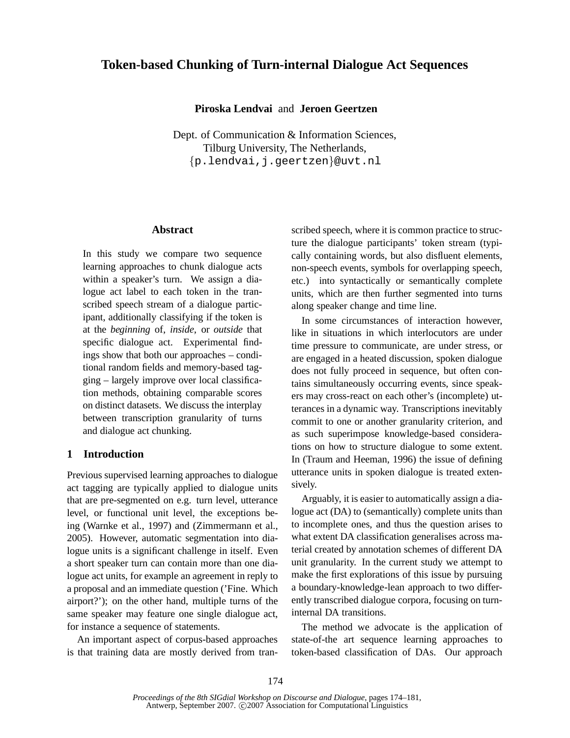# **Token-based Chunking of Turn-internal Dialogue Act Sequences**

## **Piroska Lendvai** and **Jeroen Geertzen**

Dept. of Communication & Information Sciences, Tilburg University, The Netherlands, {p.lendvai,j.geertzen}@uvt.nl

## **Abstract**

In this study we compare two sequence learning approaches to chunk dialogue acts within a speaker's turn. We assign a dialogue act label to each token in the transcribed speech stream of a dialogue participant, additionally classifying if the token is at the *beginning* of, *inside*, or *outside* that specific dialogue act. Experimental findings show that both our approaches – conditional random fields and memory-based tagging – largely improve over local classification methods, obtaining comparable scores on distinct datasets. We discuss the interplay between transcription granularity of turns and dialogue act chunking.

## **1 Introduction**

Previous supervised learning approaches to dialogue act tagging are typically applied to dialogue units that are pre-segmented on e.g. turn level, utterance level, or functional unit level, the exceptions being (Warnke et al., 1997) and (Zimmermann et al., 2005). However, automatic segmentation into dialogue units is a significant challenge in itself. Even a short speaker turn can contain more than one dialogue act units, for example an agreement in reply to a proposal and an immediate question ('Fine. Which airport?'); on the other hand, multiple turns of the same speaker may feature one single dialogue act, for instance a sequence of statements.

An important aspect of corpus-based approaches is that training data are mostly derived from transcribed speech, where it is common practice to structure the dialogue participants' token stream (typically containing words, but also disfluent elements, non-speech events, symbols for overlapping speech, etc.) into syntactically or semantically complete units, which are then further segmented into turns along speaker change and time line.

In some circumstances of interaction however, like in situations in which interlocutors are under time pressure to communicate, are under stress, or are engaged in a heated discussion, spoken dialogue does not fully proceed in sequence, but often contains simultaneously occurring events, since speakers may cross-react on each other's (incomplete) utterances in a dynamic way. Transcriptions inevitably commit to one or another granularity criterion, and as such superimpose knowledge-based considerations on how to structure dialogue to some extent. In (Traum and Heeman, 1996) the issue of defining utterance units in spoken dialogue is treated extensively.

Arguably, it is easier to automatically assign a dialogue act (DA) to (semantically) complete units than to incomplete ones, and thus the question arises to what extent DA classification generalises across material created by annotation schemes of different DA unit granularity. In the current study we attempt to make the first explorations of this issue by pursuing a boundary-knowledge-lean approach to two differently transcribed dialogue corpora, focusing on turninternal DA transitions.

The method we advocate is the application of state-of-the art sequence learning approaches to token-based classification of DAs. Our approach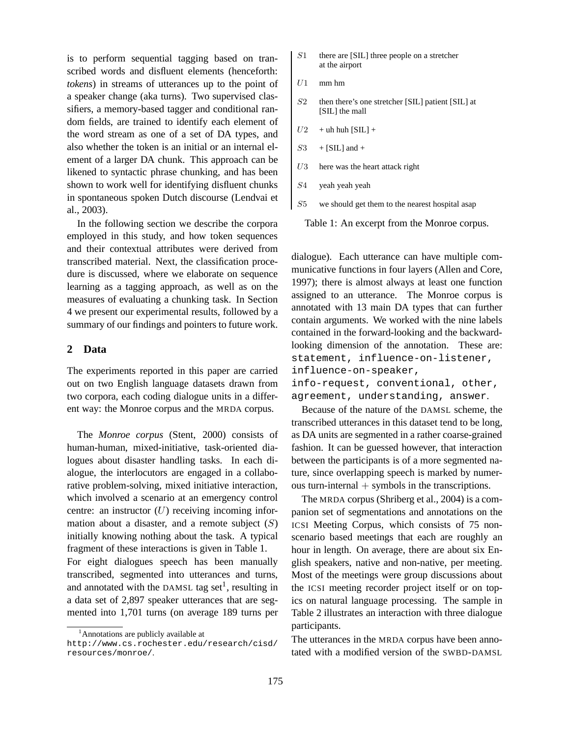is to perform sequential tagging based on transcribed words and disfluent elements (henceforth: *tokens*) in streams of utterances up to the point of a speaker change (aka turns). Two supervised classifiers, a memory-based tagger and conditional random fields, are trained to identify each element of the word stream as one of a set of DA types, and also whether the token is an initial or an internal element of a larger DA chunk. This approach can be likened to syntactic phrase chunking, and has been shown to work well for identifying disfluent chunks in spontaneous spoken Dutch discourse (Lendvai et al., 2003).

In the following section we describe the corpora employed in this study, and how token sequences and their contextual attributes were derived from transcribed material. Next, the classification procedure is discussed, where we elaborate on sequence learning as a tagging approach, as well as on the measures of evaluating a chunking task. In Section 4 we present our experimental results, followed by a summary of our findings and pointers to future work.

## **2 Data**

The experiments reported in this paper are carried out on two English language datasets drawn from two corpora, each coding dialogue units in a different way: the Monroe corpus and the MRDA corpus.

The *Monroe corpus* (Stent, 2000) consists of human-human, mixed-initiative, task-oriented dialogues about disaster handling tasks. In each dialogue, the interlocutors are engaged in a collaborative problem-solving, mixed initiative interaction, which involved a scenario at an emergency control centre: an instructor  $(U)$  receiving incoming information about a disaster, and a remote subject  $(S)$ initially knowing nothing about the task. A typical fragment of these interactions is given in Table 1.

For eight dialogues speech has been manually transcribed, segmented into utterances and turns, and annotated with the DAMSL tag set<sup>1</sup>, resulting in a data set of 2,897 speaker utterances that are segmented into 1,701 turns (on average 189 turns per

- $S1$  there are [SIL] three people on a stretcher at the airport
- $U1$  mm hm
- S2 then there's one stretcher [SIL] patient [SIL] at [SIL] the mall
- $U2$  + uh huh [SIL] +
- $S3$  + [SIL] and +
- $U3$  here was the heart attack right
- S4 yeah yeah yeah
- S5 we should get them to the nearest hospital asap

Table 1: An excerpt from the Monroe corpus.

dialogue). Each utterance can have multiple communicative functions in four layers (Allen and Core, 1997); there is almost always at least one function assigned to an utterance. The Monroe corpus is annotated with 13 main DA types that can further contain arguments. We worked with the nine labels contained in the forward-looking and the backwardlooking dimension of the annotation. These are: statement, influence-on-listener, influence-on-speaker, info-request, conventional, other, agreement, understanding, answer.

Because of the nature of the DAMSL scheme, the transcribed utterances in this dataset tend to be long, as DA units are segmented in a rather coarse-grained fashion. It can be guessed however, that interaction between the participants is of a more segmented nature, since overlapping speech is marked by numerous turn-internal  $+$  symbols in the transcriptions.

The MRDA corpus (Shriberg et al., 2004) is a companion set of segmentations and annotations on the ICSI Meeting Corpus, which consists of 75 nonscenario based meetings that each are roughly an hour in length. On average, there are about six English speakers, native and non-native, per meeting. Most of the meetings were group discussions about the ICSI meeting recorder project itself or on topics on natural language processing. The sample in Table 2 illustrates an interaction with three dialogue participants.

The utterances in the MRDA corpus have been annotated with a modified version of the SWBD-DAMSL

<sup>&</sup>lt;sup>1</sup> Annotations are publicly available at

http://www.cs.rochester.edu/research/cisd/ resources/monroe/.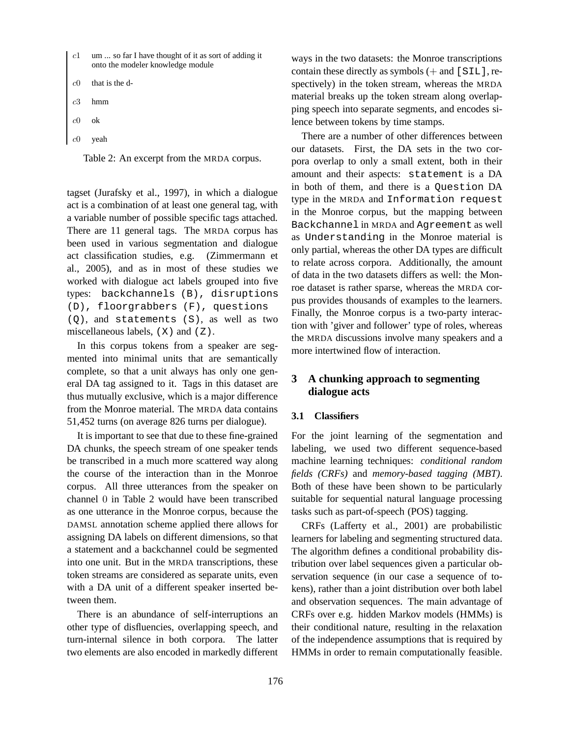- $c1$  um ... so far I have thought of it as sort of adding it onto the modeler knowledge module
- that is the d-
- hmm
- $c0$  ok
- yeah

Table 2: An excerpt from the MRDA corpus.

tagset (Jurafsky et al., 1997), in which a dialogue act is a combination of at least one general tag, with a variable number of possible specific tags attached. There are 11 general tags. The MRDA corpus has been used in various segmentation and dialogue act classification studies, e.g. (Zimmermann et al., 2005), and as in most of these studies we worked with dialogue act labels grouped into five types: backchannels (B), disruptions (D), floorgrabbers (F), questions (Q), and statements (S), as well as two miscellaneous labels,  $(X)$  and  $(Z)$ .

In this corpus tokens from a speaker are segmented into minimal units that are semantically complete, so that a unit always has only one general DA tag assigned to it. Tags in this dataset are thus mutually exclusive, which is a major difference from the Monroe material. The MRDA data contains 51,452 turns (on average 826 turns per dialogue).

It is important to see that due to these fine-grained DA chunks, the speech stream of one speaker tends be transcribed in a much more scattered way along the course of the interaction than in the Monroe corpus. All three utterances from the speaker on channel 0 in Table 2 would have been transcribed as one utterance in the Monroe corpus, because the DAMSL annotation scheme applied there allows for assigning DA labels on different dimensions, so that a statement and a backchannel could be segmented into one unit. But in the MRDA transcriptions, these token streams are considered as separate units, even with a DA unit of a different speaker inserted between them.

There is an abundance of self-interruptions an other type of disfluencies, overlapping speech, and turn-internal silence in both corpora. The latter two elements are also encoded in markedly different ways in the two datasets: the Monroe transcriptions contain these directly as symbols (+ and [SIL], respectively) in the token stream, whereas the MRDA material breaks up the token stream along overlapping speech into separate segments, and encodes silence between tokens by time stamps.

There are a number of other differences between our datasets. First, the DA sets in the two corpora overlap to only a small extent, both in their amount and their aspects: statement is a DA in both of them, and there is a Question DA type in the MRDA and Information request in the Monroe corpus, but the mapping between Backchannel in MRDA and Agreement as well as Understanding in the Monroe material is only partial, whereas the other DA types are difficult to relate across corpora. Additionally, the amount of data in the two datasets differs as well: the Monroe dataset is rather sparse, whereas the MRDA corpus provides thousands of examples to the learners. Finally, the Monroe corpus is a two-party interaction with 'giver and follower' type of roles, whereas the MRDA discussions involve many speakers and a more intertwined flow of interaction.

# **3 A chunking approach to segmenting dialogue acts**

### **3.1 Classifiers**

For the joint learning of the segmentation and labeling, we used two different sequence-based machine learning techniques: *conditional random fields (CRFs)* and *memory-based tagging (MBT)*. Both of these have been shown to be particularly suitable for sequential natural language processing tasks such as part-of-speech (POS) tagging.

CRFs (Lafferty et al., 2001) are probabilistic learners for labeling and segmenting structured data. The algorithm defines a conditional probability distribution over label sequences given a particular observation sequence (in our case a sequence of tokens), rather than a joint distribution over both label and observation sequences. The main advantage of CRFs over e.g. hidden Markov models (HMMs) is their conditional nature, resulting in the relaxation of the independence assumptions that is required by HMMs in order to remain computationally feasible.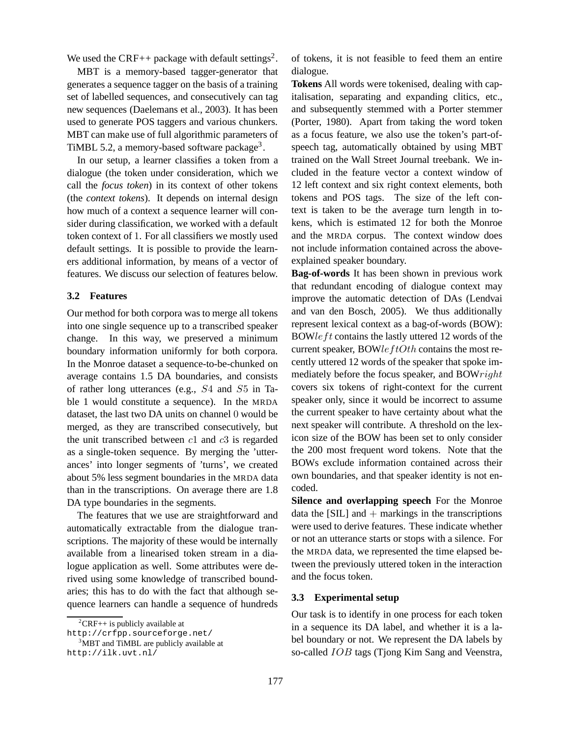We used the CRF++ package with default settings<sup>2</sup>.

MBT is a memory-based tagger-generator that generates a sequence tagger on the basis of a training set of labelled sequences, and consecutively can tag new sequences (Daelemans et al., 2003). It has been used to generate POS taggers and various chunkers. MBT can make use of full algorithmic parameters of TiMBL 5.2, a memory-based software package<sup>3</sup>.

In our setup, a learner classifies a token from a dialogue (the token under consideration, which we call the *focus token*) in its context of other tokens (the *context tokens*). It depends on internal design how much of a context a sequence learner will consider during classification, we worked with a default token context of 1. For all classifiers we mostly used default settings. It is possible to provide the learners additional information, by means of a vector of features. We discuss our selection of features below.

## **3.2 Features**

Our method for both corpora was to merge all tokens into one single sequence up to a transcribed speaker change. In this way, we preserved a minimum boundary information uniformly for both corpora. In the Monroe dataset a sequence-to-be-chunked on average contains 1.5 DA boundaries, and consists of rather long utterances (e.g., S4 and S5 in Table 1 would constitute a sequence). In the MRDA dataset, the last two DA units on channel 0 would be merged, as they are transcribed consecutively, but the unit transcribed between  $c1$  and  $c3$  is regarded as a single-token sequence. By merging the 'utterances' into longer segments of 'turns', we created about 5% less segment boundaries in the MRDA data than in the transcriptions. On average there are 1.8 DA type boundaries in the segments.

The features that we use are straightforward and automatically extractable from the dialogue transcriptions. The majority of these would be internally available from a linearised token stream in a dialogue application as well. Some attributes were derived using some knowledge of transcribed boundaries; this has to do with the fact that although sequence learners can handle a sequence of hundreds of tokens, it is not feasible to feed them an entire dialogue.

**Tokens** All words were tokenised, dealing with capitalisation, separating and expanding clitics, etc., and subsequently stemmed with a Porter stemmer (Porter, 1980). Apart from taking the word token as a focus feature, we also use the token's part-ofspeech tag, automatically obtained by using MBT trained on the Wall Street Journal treebank. We included in the feature vector a context window of 12 left context and six right context elements, both tokens and POS tags. The size of the left context is taken to be the average turn length in tokens, which is estimated 12 for both the Monroe and the MRDA corpus. The context window does not include information contained across the aboveexplained speaker boundary.

**Bag-of-words** It has been shown in previous work that redundant encoding of dialogue context may improve the automatic detection of DAs (Lendvai and van den Bosch, 2005). We thus additionally represent lexical context as a bag-of-words (BOW): BOWleft contains the lastly uttered 12 words of the current speaker, BOW $leftOf$  contains the most recently uttered 12 words of the speaker that spoke immediately before the focus speaker, and BOWright covers six tokens of right-context for the current speaker only, since it would be incorrect to assume the current speaker to have certainty about what the next speaker will contribute. A threshold on the lexicon size of the BOW has been set to only consider the 200 most frequent word tokens. Note that the BOWs exclude information contained across their own boundaries, and that speaker identity is not encoded.

**Silence and overlapping speech** For the Monroe data the  $[SIL]$  and  $+$  markings in the transcriptions were used to derive features. These indicate whether or not an utterance starts or stops with a silence. For the MRDA data, we represented the time elapsed between the previously uttered token in the interaction and the focus token.

#### **3.3 Experimental setup**

Our task is to identify in one process for each token in a sequence its DA label, and whether it is a label boundary or not. We represent the DA labels by so-called IOB tags (Tjong Kim Sang and Veenstra,

 ${}^{2}CRF++$  is publicly available at

http://crfpp.sourceforge.net/

<sup>&</sup>lt;sup>3</sup>MBT and TiMBL are publicly available at http://ilk.uvt.nl/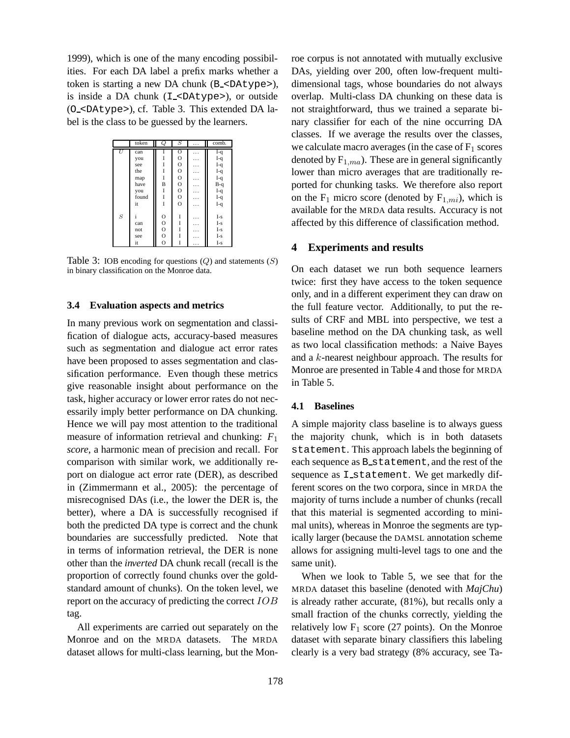1999), which is one of the many encoding possibilities. For each DA label a prefix marks whether a token is starting a new DA chunk (B <DAtype>), is inside a DA chunk (I <DAtype>), or outside (O <DAtype>), cf. Table 3. This extended DA label is the class to be guessed by the learners.

|                  | token | Q              | $\overline{S}$ | . | comb. |
|------------------|-------|----------------|----------------|---|-------|
| U                | can   |                | $\overline{O}$ | . | $I-q$ |
|                  | you   |                | $\circ$        | . | $I-q$ |
|                  | see   | I              | $\mathbf O$    | . | $I-q$ |
|                  | the   |                | $\mathbf O$    | . | $I-q$ |
|                  | map   | Ī              | $\mathbf O$    | . | $I-q$ |
|                  | have  | B              | $\mathbf O$    | . | $B-q$ |
|                  | you   | I              | $\mathbf O$    | . | $I-q$ |
|                  | found | Ī              | $\circ$        | . | $I-q$ |
|                  | it    | Ī              | $\circ$        | . | $I-q$ |
|                  |       |                |                |   |       |
| $\boldsymbol{S}$ | i     | $\mathbf O$    | I              | . | $I-S$ |
|                  | can   | $\mathbf O$    |                | . | $I-s$ |
|                  | not   | $\mathbf{O}$   |                | . | $I-s$ |
|                  | see   | $\circ$        |                | . | I-s   |
|                  | it    | $\overline{O}$ |                | . | $I-S$ |

Table 3: IOB encoding for questions  $(Q)$  and statements  $(S)$ in binary classification on the Monroe data.

## **3.4 Evaluation aspects and metrics**

In many previous work on segmentation and classification of dialogue acts, accuracy-based measures such as segmentation and dialogue act error rates have been proposed to asses segmentation and classification performance. Even though these metrics give reasonable insight about performance on the task, higher accuracy or lower error rates do not necessarily imply better performance on DA chunking. Hence we will pay most attention to the traditional measure of information retrieval and chunking:  $F_1$ *score*, a harmonic mean of precision and recall. For comparison with similar work, we additionally report on dialogue act error rate (DER), as described in (Zimmermann et al., 2005): the percentage of misrecognised DAs (i.e., the lower the DER is, the better), where a DA is successfully recognised if both the predicted DA type is correct and the chunk boundaries are successfully predicted. Note that in terms of information retrieval, the DER is none other than the *inverted* DA chunk recall (recall is the proportion of correctly found chunks over the goldstandard amount of chunks). On the token level, we report on the accuracy of predicting the correct IOB tag.

All experiments are carried out separately on the Monroe and on the MRDA datasets. The MRDA dataset allows for multi-class learning, but the Monroe corpus is not annotated with mutually exclusive DAs, yielding over 200, often low-frequent multidimensional tags, whose boundaries do not always overlap. Multi-class DA chunking on these data is not straightforward, thus we trained a separate binary classifier for each of the nine occurring DA classes. If we average the results over the classes, we calculate macro averages (in the case of  $F_1$  scores denoted by  $F_{1,ma}$ ). These are in general significantly lower than micro averages that are traditionally reported for chunking tasks. We therefore also report on the  $F_1$  micro score (denoted by  $F_{1,mi}$ ), which is available for the MRDA data results. Accuracy is not affected by this difference of classification method.

## **4 Experiments and results**

On each dataset we run both sequence learners twice: first they have access to the token sequence only, and in a different experiment they can draw on the full feature vector. Additionally, to put the results of CRF and MBL into perspective, we test a baseline method on the DA chunking task, as well as two local classification methods: a Naive Bayes and a k-nearest neighbour approach. The results for Monroe are presented in Table 4 and those for MRDA in Table 5.

### **4.1 Baselines**

A simple majority class baseline is to always guess the majority chunk, which is in both datasets statement. This approach labels the beginning of each sequence as B\_statement, and the rest of the sequence as I\_statement. We get markedly different scores on the two corpora, since in MRDA the majority of turns include a number of chunks (recall that this material is segmented according to minimal units), whereas in Monroe the segments are typically larger (because the DAMSL annotation scheme allows for assigning multi-level tags to one and the same unit).

When we look to Table 5, we see that for the MRDA dataset this baseline (denoted with *MajChu*) is already rather accurate, (81%), but recalls only a small fraction of the chunks correctly, yielding the relatively low  $F_1$  score (27 points). On the Monroe dataset with separate binary classifiers this labeling clearly is a very bad strategy (8% accuracy, see Ta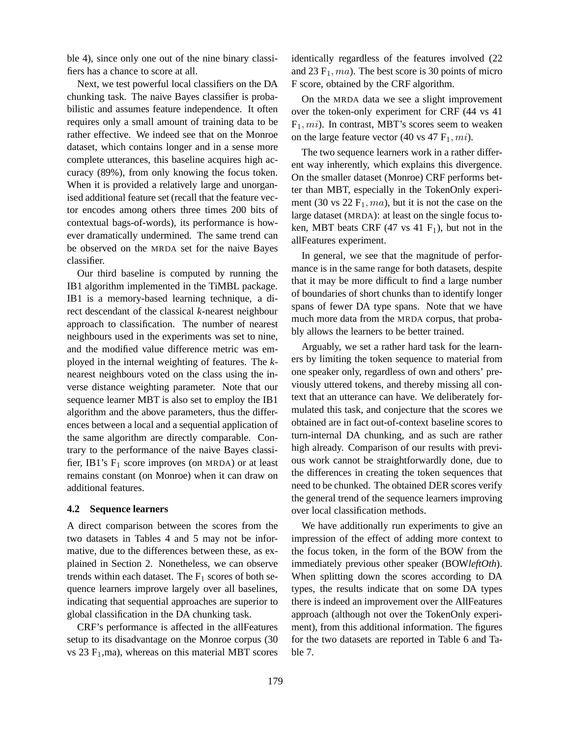ble 4), since only one out of the nine binary classifiers has a chance to score at all.

Next, we test powerful local classifiers on the DA chunking task. The naive Bayes classifier is probabilistic and assumes feature independence. It often requires only a small amount of training data to be rather effective. We indeed see that on the Monroe dataset, which contains longer and in a sense more complete utterances, this baseline acquires high accuracy (89%), from only knowing the focus token. When it is provided a relatively large and unorganised additional feature set (recall that the feature vector encodes among others three times 200 bits of contextual bags-of-words), its performance is however dramatically undermined. The same trend can be observed on the MRDA set for the naive Bayes classifier.

Our third baseline is computed by running the IB1 algorithm implemented in the TiMBL package. IB1 is a memory-based learning technique, a direct descendant of the classical *k*-nearest neighbour approach to classification. The number of nearest neighbours used in the experiments was set to nine, and the modified value difference metric was employed in the internal weighting of features. The *k*nearest neighbours voted on the class using the inverse distance weighting parameter. Note that our sequence learner MBT is also set to employ the IB1 algorithm and the above parameters, thus the differences between a local and a sequential application of the same algorithm are directly comparable. Contrary to the performance of the naive Bayes classifier, IB1's  $F_1$  score improves (on MRDA) or at least remains constant (on Monroe) when it can draw on additional features.

#### **4.2 Sequence learners**

A direct comparison between the scores from the two datasets in Tables 4 and 5 may not be informative, due to the differences between these, as explained in Section 2. Nonetheless, we can observe trends within each dataset. The  $F_1$  scores of both sequence learners improve largely over all baselines, indicating that sequential approaches are superior to global classification in the DA chunking task.

CRF's performance is affected in the allFeatures setup to its disadvantage on the Monroe corpus (30 vs  $23$  F<sub>1</sub>,ma), whereas on this material MBT scores identically regardless of the features involved (22 and 23  $F_1$ , ma). The best score is 30 points of micro F score, obtained by the CRF algorithm.

On the MRDA data we see a slight improvement over the token-only experiment for CRF (44 vs 41  $F_1$ , mi). In contrast, MBT's scores seem to weaken on the large feature vector (40 vs 47  $F_1$ , mi).

The two sequence learners work in a rather different way inherently, which explains this divergence. On the smaller dataset (Monroe) CRF performs better than MBT, especially in the TokenOnly experiment (30 vs  $22 \text{ F}_1$ , ma), but it is not the case on the large dataset (MRDA): at least on the single focus token, MBT beats CRF  $(47 \text{ vs } 41 \text{ F}_1)$ , but not in the allFeatures experiment.

In general, we see that the magnitude of performance is in the same range for both datasets, despite that it may be more difficult to find a large number of boundaries of short chunks than to identify longer spans of fewer DA type spans. Note that we have much more data from the MRDA corpus, that probably allows the learners to be better trained.

Arguably, we set a rather hard task for the learners by limiting the token sequence to material from one speaker only, regardless of own and others' previously uttered tokens, and thereby missing all context that an utterance can have. We deliberately formulated this task, and conjecture that the scores we obtained are in fact out-of-context baseline scores to turn-internal DA chunking, and as such are rather high already. Comparison of our results with previous work cannot be straightforwardly done, due to the differences in creating the token sequences that need to be chunked. The obtained DER scores verify the general trend of the sequence learners improving over local classification methods.

We have additionally run experiments to give an impression of the effect of adding more context to the focus token, in the form of the BOW from the immediately previous other speaker (BOW*leftOth*). When splitting down the scores according to DA types, the results indicate that on some DA types there is indeed an improvement over the AllFeatures approach (although not over the TokenOnly experiment), from this additional information. The figures for the two datasets are reported in Table 6 and Table 7.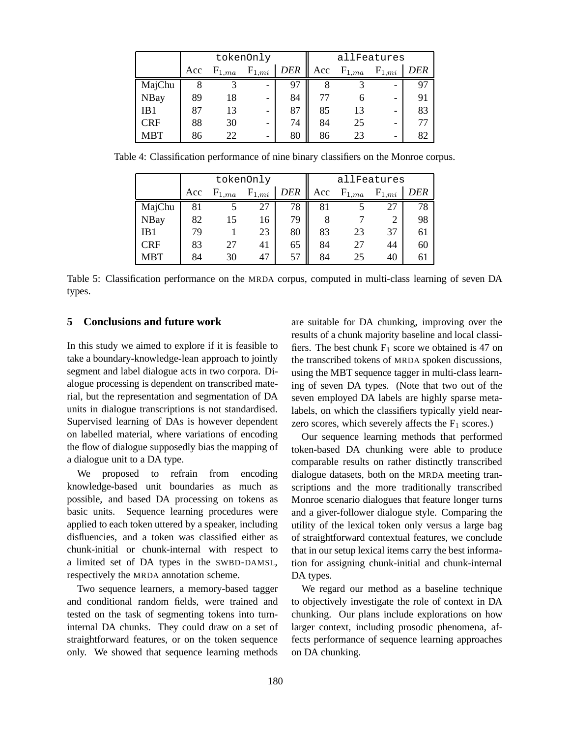|             | tokenOnly |     |            |            | allFeatures |            |                          |     |  |
|-------------|-----------|-----|------------|------------|-------------|------------|--------------------------|-----|--|
|             | Acc       | 1ma | $F_{1,mi}$ | <b>DER</b> | Acc         | $F_{1,ma}$ | ${\rm F}_{1,mi}$         | DER |  |
| MajChu      |           | 3   | -          | 97         |             |            | $\overline{\phantom{0}}$ | 97  |  |
| <b>NBay</b> | 89        | 18  |            | 84         |             |            | $\overline{\phantom{0}}$ | 91  |  |
| IB1         | 87        | 13  |            | 87         | 85          | 13         | $\overline{\phantom{0}}$ | 83  |  |
| <b>CRF</b>  | 88        | 30  |            | 74         | 84          | 25         |                          | 77  |  |
| MBT         | 86        | 22  | -          | 80         | 86          | 23         | $\overline{\phantom{0}}$ | 82  |  |

Table 4: Classification performance of nine binary classifiers on the Monroe corpus.

|             | tokenOnly |            |            |     | allFeatures |            |            |     |  |
|-------------|-----------|------------|------------|-----|-------------|------------|------------|-----|--|
|             | Acc       | $F_{1,ma}$ | $F_{1,mi}$ | DER | Acc         | $F_{1,ma}$ | $F_{1,mi}$ | DER |  |
| MajChu      | 81        |            | 27         | 78  | 81          |            |            | 78  |  |
| <b>NBay</b> | 82        | 15         | 16         | 79  | 8           |            |            | 98  |  |
| IB1         | 79        |            | 23         | 80  | 83          | 23         | 37         | 61  |  |
| <b>CRF</b>  | 83        | 27         | 41         | 65  | 84          | 27         | 44         | 60  |  |
| <b>MBT</b>  | 84        | 30         | 47         | 57  | 84          | 25         | 40         | 61  |  |

Table 5: Classification performance on the MRDA corpus, computed in multi-class learning of seven DA types.

## **5 Conclusions and future work**

In this study we aimed to explore if it is feasible to take a boundary-knowledge-lean approach to jointly segment and label dialogue acts in two corpora. Dialogue processing is dependent on transcribed material, but the representation and segmentation of DA units in dialogue transcriptions is not standardised. Supervised learning of DAs is however dependent on labelled material, where variations of encoding the flow of dialogue supposedly bias the mapping of a dialogue unit to a DA type.

We proposed to refrain from encoding knowledge-based unit boundaries as much as possible, and based DA processing on tokens as basic units. Sequence learning procedures were applied to each token uttered by a speaker, including disfluencies, and a token was classified either as chunk-initial or chunk-internal with respect to a limited set of DA types in the SWBD-DAMSL, respectively the MRDA annotation scheme.

Two sequence learners, a memory-based tagger and conditional random fields, were trained and tested on the task of segmenting tokens into turninternal DA chunks. They could draw on a set of straightforward features, or on the token sequence only. We showed that sequence learning methods

are suitable for DA chunking, improving over the results of a chunk majority baseline and local classifiers. The best chunk  $F_1$  score we obtained is 47 on the transcribed tokens of MRDA spoken discussions, using the MBT sequence tagger in multi-class learning of seven DA types. (Note that two out of the seven employed DA labels are highly sparse metalabels, on which the classifiers typically yield nearzero scores, which severely affects the  $F_1$  scores.)

Our sequence learning methods that performed token-based DA chunking were able to produce comparable results on rather distinctly transcribed dialogue datasets, both on the MRDA meeting transcriptions and the more traditionally transcribed Monroe scenario dialogues that feature longer turns and a giver-follower dialogue style. Comparing the utility of the lexical token only versus a large bag of straightforward contextual features, we conclude that in our setup lexical items carry the best information for assigning chunk-initial and chunk-internal DA types.

We regard our method as a baseline technique to objectively investigate the role of context in DA chunking. Our plans include explorations on how larger context, including prosodic phenomena, affects performance of sequence learning approaches on DA chunking.